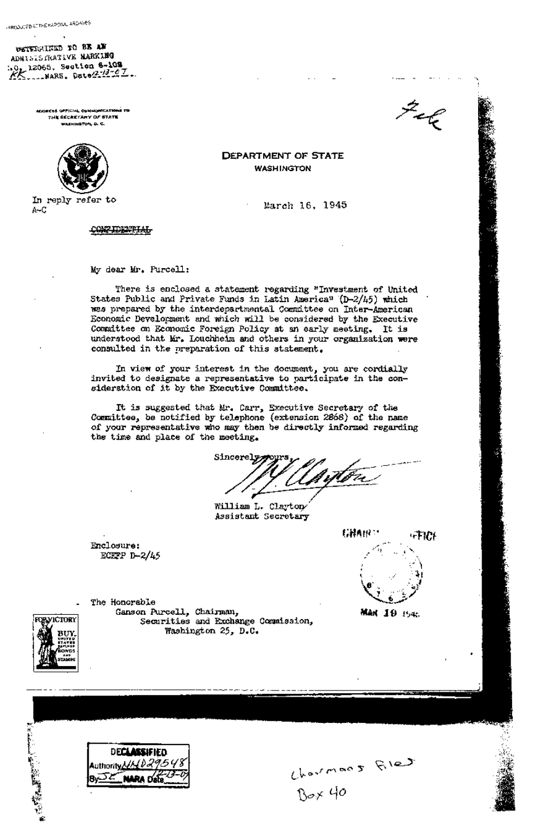OSTERGATED TO BE AW ADNI& IS FRATIVE NARKING :.0, 12065, Section 6-109 *~ .... ,~s. ~.e\_.. ..... ...* 

> ADDRESS OFFICIAL COMMUNICATIONS TO .<br>THE SECRETARY OF STATE WAININGTON, O. C.



In reply refer to A-C

**CONFIDENTIAL** 

My dear Mr. Purcell:

There is enclosed a statement regarding "Investment of United States Public and Private Funds in Latin America<sup>n</sup> (D-2/45) which was prepared by the interdepartmental Committee on Inter-American Economic Development and which will be considered by the Executive Committee on Economic Foreign Policy at an early meeting. It is understood that Mr. Louchheim and others in your organization were consulted in the preparation of this statement.

**DEPARTMENT OF STATE WASHINGTON** 

March 16, 1945

In view of your interest in the document, you are cordially invited to designate a representative to participate in the consideration of it by the Executive Committee.

It is suggested that Mr. Cart, Executive Secretary of the Committee, be notified by telephone (extension 2868) of the name of your representative who may then be directly informed regarding the time and place of the meeting.

 $Sineore2279975$ 

William L. Clayton Assistant Secretary

Enclosure: **ECEFP D-2/45** 

The Honorable



""t

 $\mathcal{Z}_{\mathcal{L}}$ 

**MAN 10 1545** 

Charman 5 Ries



Ganson Purcell, Chairman, Securities and Exchange Commission, Washington 25, D.C.



**DECLASSIFIED Authority 1/1/029548**<br>**By DE NARA Date**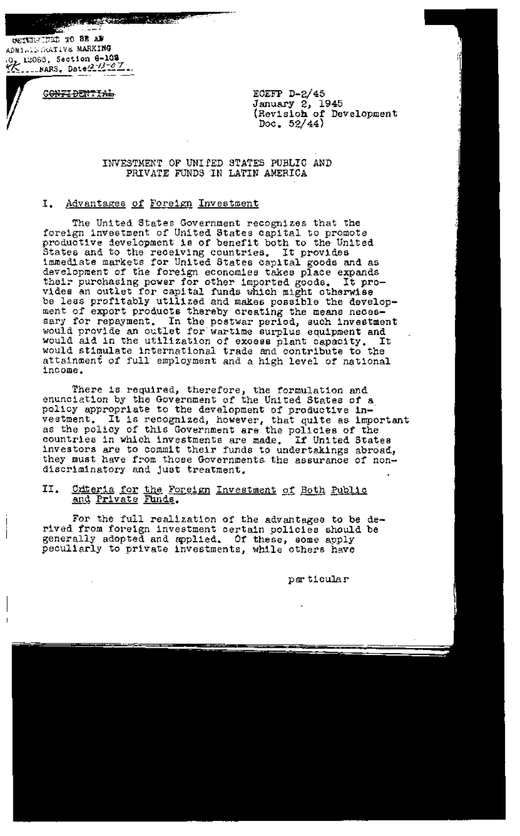**AND A DESCRIPTION OF A PARTY** 

CETURETEL TO BE AF ADMI $\sim$ I5 GGATIVE MARKING ,0. 12065, Section **6-109** 

**CONFIDENTIAL** 

**ECEFP D-2/45**  January 2, 1945 (Revisioh of Development Doc. 52/44)

INVESTMENT OF UNIfED STATES PUBLIC AND PRIVATE FUNDS IN LATIN AMERICA

# I. Advantages of Foreign Investment

The United States Government recognizes that the foreign investment of United States capital to promote productive development is of benefit both to the United States and to the receiving countries. It provides immediate markets for United States capital goods and as development of the foreign economies takes place expands their purchasing power for other imported goods. It provides an outlet for capital funds which might otherwise be less profitably utilized and makes possible the development of export products thereby creating the means necessary for repayment. In the postwar period, such investment would provide an outlet for wartime surplus equipment and would aid in the utilization of excess plant capacity. It would stimulate international trade and contribute to the attainment of full employment and a high level of national income.

There is required, therefore, the formulation and enunciation by the Government of the United States of a policy appropriate to the development of productive investment. It is recognized, however, that quite as important as the policy of this Government are the policies of the countries in which investments are made. If United States investors are to commit their funds to undertakings abroad, they must have from those Governments the assurance of nondiscriminatory and Just treatment.

### II. <u>Criteria for the Foreign Investment of Both Public</u> and Private Funds.

For the full realization of the advantages to be derived from foreign investment certain policies should be generally adopted and spplied. Of these, some apply peculiarly to private investments, while others have

 $per$  ticular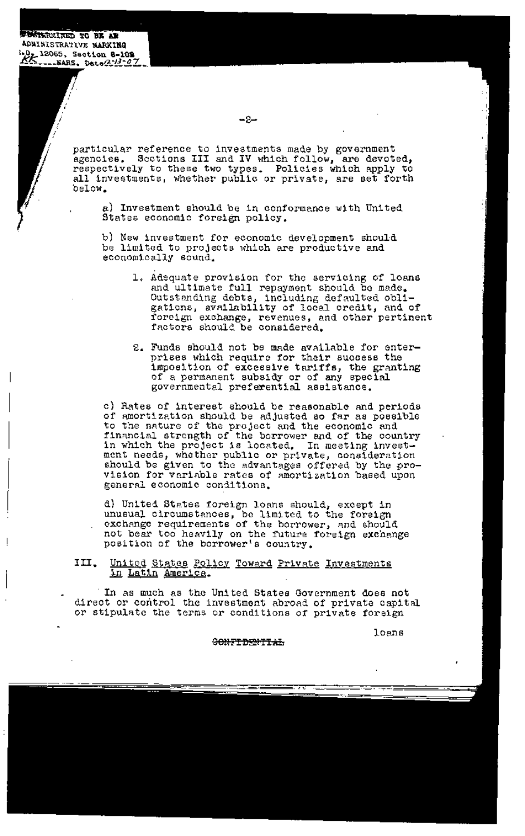*x BETERMINED TO BE AR* **ADMIBISTRATIVE MARKING**<br>\*0<sub>2</sub> 12065, Section 8-102 --NARS. Date(2-13-07

> rticular reference to investments made by government ~ncies. Sections III and IV which follow, are devoted, 3pectively to these two types. Policies which apply to all investments, whether public or private, are set forth **Low.**

a) Investment should be in conformance with United States economic foreign policy.

b) New investment for economic development should be limited to projects which are productive and economically sound.

- 1. Adequate provision for the servicing of loans and ultimate full repayment should be made. Outstanding debts, including defaulted obligations, availability of local credit, and of foreign exchange, revenues, and other pertinent factors should be considered.
- 2. Funds should not be made available for enterprises which require for their success the imposition of excessive tariffs, the granting of a permanent subsidy or of any special governmental preferential assistance.

c) Rates of interest should be reasonable and periods of amortization should be adjusted so far as possible to the nature of the project and the economic and financial strength of the borrower and of the country in which the project is located, In meeting investment needs, whether public or private, consideration should be given to the advantages offered by the provision for variable rates of amortization based upon general economic conditions.

d) United States foreign loans should, except in unusual circumstances, be limited to the foreign exchange requirements of the borrower, and should not bear too heavily on the future foreign exchange position of the borrower's country.

III. United States Policy Toward Private Investments in Latin America.

In as much as the United States Government does not direct or control the investment abroad of private capital or stipulate the terms or conditions of private foreign

loans

GONFIDENTIAL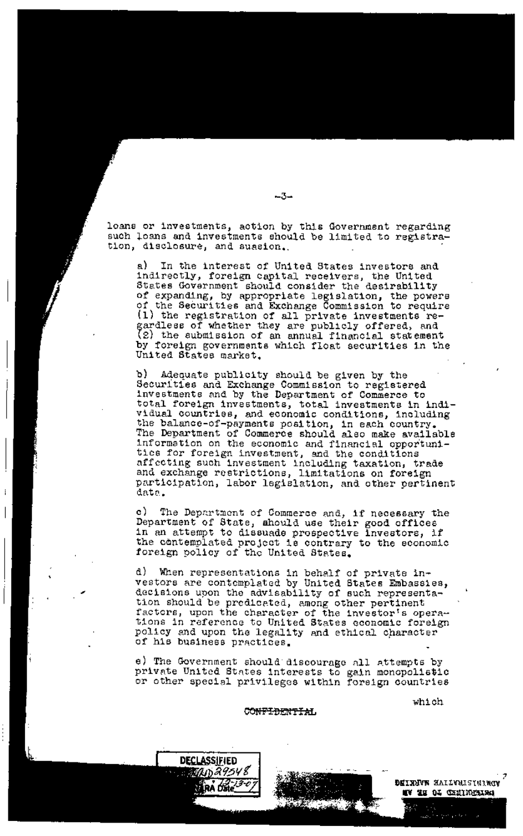loans or investments, action by this Government regarding such loans and investments should be limited to registration, disclosure, and suasion.

a) In the interest of United States investors and indirectly, foreign capital receivers, the United States Government should consider the desirability of expanding, by appropriate legislation, the powers of the Securities and Exchange Commission to require (1) the registration of all private investments re**g** ardless of whether they are publicly offered, and 2) the submission of an annual financial statement by foreign governments which float securities in the United States market.

b) Adequate publicity should be given by the Securities and Exchange Commission to registered investments and by the Department of Commerce to total foreign investments, total investments in individual countries, and economic conditions, including the balance-of-payments position, in each country. The Department of Commerce should also make available information on the economic and financial opportunities for foreign investment, and the conditions affecting such investment including taxation, trade and exchange restrictions, limitations on foreign participation, labor legislation, and other pertinent data.

c) The Department of Commerce and, if necessary the Department of State, should use their good offices in an attempt to dissuade prospective investors, if the contemplated project is contrary to the economic foreign policy of the United States.

d) When representations in behalf of private investors are contemplated by United States Embassies, decisions upon the advisability of such representation should be predicated, among other pertinent factors, upon the character of the investor's operations in reference to United States economic foreign policy and upon the legality and ethical character of his business practices.

e) The Government should discourage all attempts by private United States interests to gain monopolistic or other special privileges within foreign countries

which





~w

DEINHUN MAILVALSTEINGE MA AR OT QENIMENTE!

والمعادرات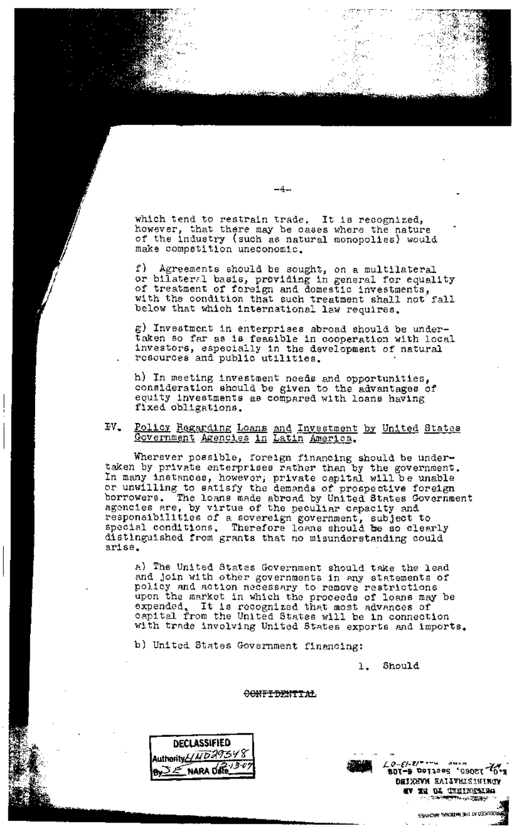which tend to restrain trade. It is recognized, however, that there may be cases where the nature of the industry (such as natural monopolies) would make competition uneconomic.

f) Agreements should be sought, on a multilateral or bilateral basis, providing in general for equality of treatment of foreign and domestic investments, with the condition that such treatment shall not fall below that which international law requires.

g) Investment in enterprises abroad should be under-<br>taken so far as is feasible in cooperation with local<br>investors, especially in the development of natural<br>resources and public utilities.

h) In meeting investment needs and opportunities, consideration should be given to the advantages of equity investments as compared with loans having fixed obligations.

 $IV_{-}$ Policy Regarding Loans and Investment by United States<br>Government Agencies in Latin America.

Wherever possible, foreign financing should be undertaken by private enterprises rather than by the government. In many instances, however, private capital will be unable or unwilling to satisfy the demands of prospective foreign<br>borrowers. The loans made abroad by United States Government agencies are, by virtue of the peculiar capacity and responsibilities of a sovereign government, subject to<br>special conditions. Therefore loans should be so clearly distinguished from grants that no misunderstanding could arise.

a) The United States Government should take the lead and join with other governments in any statements of policy and action necessary to remove restrictions upon the market in which the proceeds of loans may be expended. It is recognized that most advances of capital from the United States will be in connection with trade involving United States exports and imports.

b) United States Government financing:

Should  $\mathbf{L}$ 

# **OONFIDENTIAL**



 $\mathcal{L} \varrho\text{-}\mathcal{E}/\text{-}\mathbf{z}/\text{-}$   $\sim$ r<sup>7</sup>0° rsoee' eestrog <mark>e-ros</mark> DRIXEVM EALLVELSININGV SEARCHA ANOTHER THE TARBOUCK

 $-4-$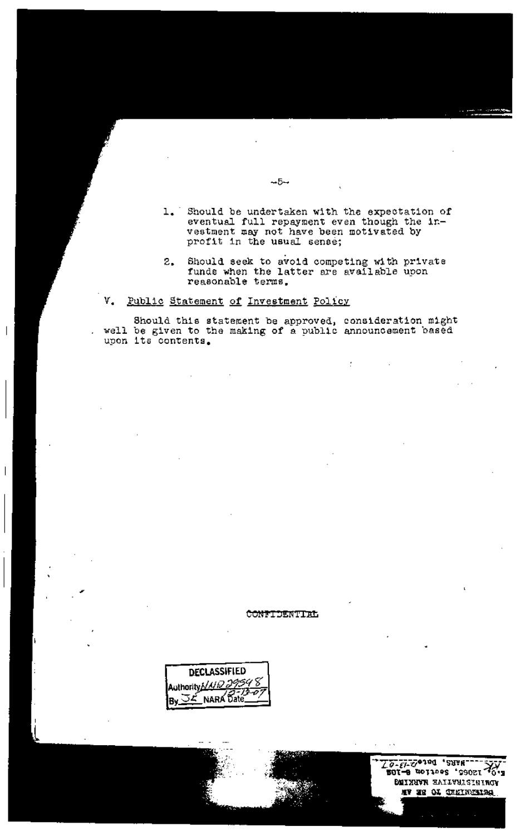- 1. Should be undertaken with the expectation of eventual full repayment even though the investment may not have been motivated by profit in the usual sense;
- Should seek to avoid competing with private<br>funds when the latter are available upon  $2.$ reasonable terms.

ł

#### ٧. Public Statement of Investment Policy

Should this statement be approved, consideration might well be given to the making of a public announcement based upon its contents.

 $-5-$ 

### CONFIDENTIAL

**DECLASSIFIED** Authority NUD 29548 **JE NARA Date** 

To-El-Sesed , 29AM- $501 - 9$  TOTAPPS 'SSOZI **DEIXHVR HALLVULSININGY** WA ME OT GERIMWETSG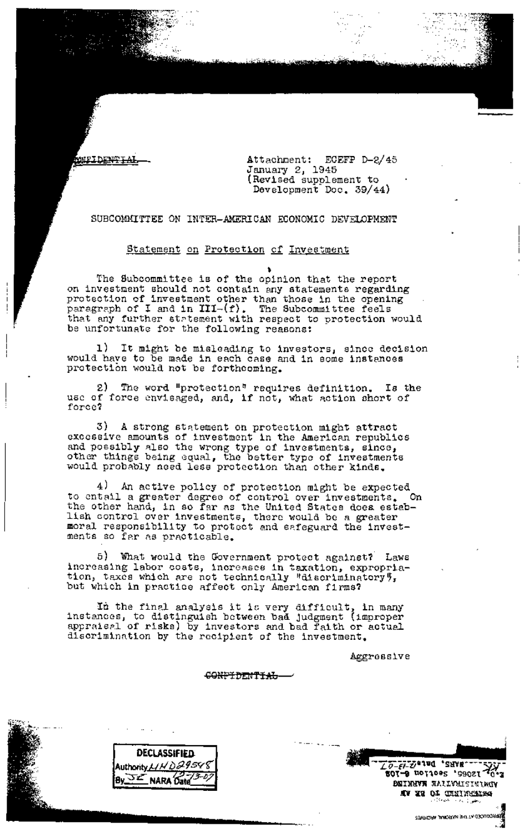**ONEIDENTIA** 

Attachment: ECEFP D-2/45 January 2, 1945 (Revised supplement to Development Dec. 39/44)

SUBCOMMITTEE ON INTER-AMERICAN ECONOMIC DEVELOPMENT

# Statement on Protection of Investment

**t**  The Subcommittee is of the opinion that the report on investment should not contain any statements regarding protection of investment other than those in the opening paragraph of I and in III-(f). The Subcommittee feels that any further statement with respect to protection would be unfortunate for the following reasons:

l) It might be misleading to investors, since decision would have to be made in each case and in some instances protection would not be forthcoming.

2) The word "protection" requires definition. Is the use of force envisaged, and, if not, what action short of force?

3) A strong statement on protection might attract excessive amounts of investment in the American republics and possibly also the wrong type of investments, since, other things being equal, the better type of investments would probably need less protection than other kinds.

4) An active policy of protection might be expected<br>tail a greater degree of control over investments. On to entail a greater degree of control over investments. On the other hand, in so far as the United States doea establish control over investments, there would be a greater moral responsibility to protect and safeguard the investments so far as practicable.

G) What would the Government protect against? Laws increasing labor costs, increases in taxation, expropriation, taxes which are not technically "discriminatory", but which in practice affect only American firms?

In the final analysis it is very difficult, in many instances, to distinguish between ba~ Judgment (improper appraisal of risks) by investors and bad faith or actual discrimination by the recipient of the investment.

Aggressive

CONFIDENTIAL-



**I DECLASSIFIED i Authority/,J~b~ ~,~i EZ NARA Date**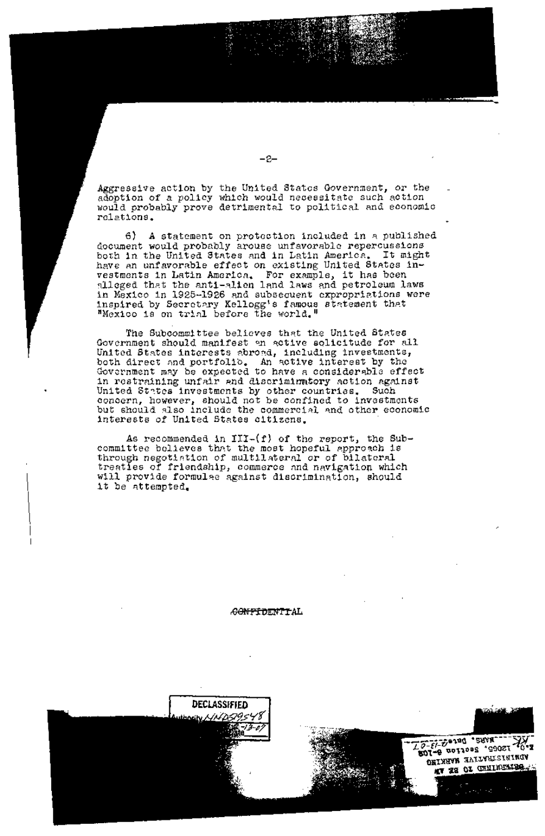Aggressive action by the United States Government, or the adoption of a policy which would necessitate such action would probably prove detrimental to political and economic relations.

6) A statement on protection included in a published document would probably arouse unfavorable repercussions both in the United States and in Latin America. It might have an unfavorable effect on existing United States investments in Latin America. ~ For example, it has been alleged that the anti-alien land laws and petroleum laws in Mexico in 1925-1926 and subsecuent expropriations were inspired by Secretary Kellogg's famous statement that "Mexico is on trial before the world."

The Subcommittee believes that the United States Government should manifest an active solicitude for all United States interests ~bro~d, including investments, both direct and portfolib. An active interest by the Government may be expected to have a considerable effect in restraining unfair and discriminatory action against United States investments by other countries. Such concern, however, should not be confined to investments but should also include the commercial and other economic interests of United States citizens.

As recommended in  $III-(f)$  of the report, the Subcommittee believes that the most hopeful approach is through negotiation of multilateral or of bilateral treaties of friendship, commerce and navigation which will provide formulae against discrimination, should it be attempted.

~FTDENTrAL



-2-